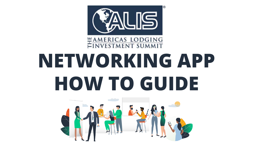

### **EAMERICAS LODGING**<br>FINVESTMENT SUMMIT

# **NETWORKING APP HOW TO GUIDE**

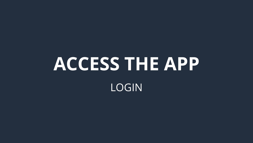# **ACCESS THE APP** LOGIN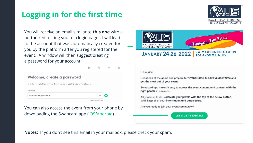#### **Logging in for the first time**



You will receive an email similar to **this one** with a button redirecting you to a login page. It will lead to the account that was automatically created for you by the platform after you registered for the event. A window will then suggest creating a password for your account.

| Welcome, create a password                                                   |  |
|------------------------------------------------------------------------------|--|
|                                                                              |  |
| In order to log in the next time that you want to use the web or mobile app. |  |
| Password*                                                                    |  |

You can also access the event from your phone by downloading the Swapcard app [\(iOS](https://apps.apple.com/fr/developer/swapcard/id879488722#see-all/i-phone-apps)/[Androïd\)](https://play.google.com/store/apps/developer?id=Swapcard)



Hello Jane,

县

Get ahead of the game and prepare for 'Event Name' to save yourself time and get the most out of your event.

Swapcard app makes it easy to access the event content and connect with the right people in advance.

All you have to do is activate your profile with the tap of the below button. We'll keep all of your information and data secure.

Are you ready to join your event community?

**LET'S GET STARTED!** 

**Notes:** If you don't see this email in your mailbox, please check your spam.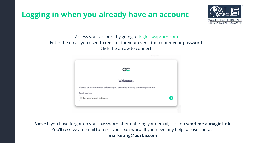#### **Logging in when you already have an account**



Access your account by going to [login.swapcard.com](https://login.swapcard.com/) Enter the email you used to register for your event, then enter your password. Click the arrow to connect.



**Note:** If you have forgotten your password after entering your email, click on **send me a magic link**. You'll receive an email to reset your password. If you need any help, please contact **marketing@burba.com**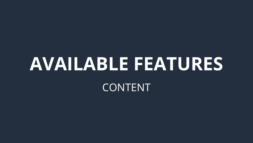## **AVAILABLE FEATURES** CONTENT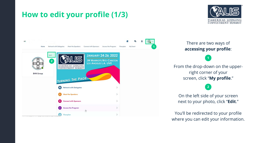#### **How to edit your profile (1/3)**





There are two ways of **accessing your profile**:

**1**

From the drop-down on the upperright corner of your screen, click "**My profile**."

On the left side of your screen next to your photo, click "**Edit**."

**2**

You'll be redirected to your profile where you can edit your information.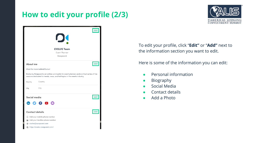#### **How to edit your profile (2/3)**



|                        | <b>EVOLVE Team</b>                                                                                                                                                      | EDIT        |
|------------------------|-------------------------------------------------------------------------------------------------------------------------------------------------------------------------|-------------|
|                        | Fvent Planner                                                                                                                                                           |             |
|                        | Swapcard                                                                                                                                                                |             |
| About me               |                                                                                                                                                                         | EDIT        |
|                        | Meet the team behind Evolve!                                                                                                                                            |             |
|                        | Evolve by Swapcard is an online community for event planners and a virtual series of live<br>sessions dedicated to trends, news, and hot topics in the events industry. |             |
| Country                | Country                                                                                                                                                                 |             |
| City                   | City                                                                                                                                                                    |             |
| Social media           |                                                                                                                                                                         | EDIT        |
|                        | $\bullet$ 0 $\bullet$ 0 $\circ$                                                                                                                                         |             |
| <b>Contact details</b> |                                                                                                                                                                         | <b>EDIT</b> |
|                        | Add your mobile phone number                                                                                                                                            |             |
|                        | <b>III</b> Add your landline phone number                                                                                                                               |             |
|                        | @ evolve@swapcard.com                                                                                                                                                   |             |
|                        | https://evolve.swapcard.com/                                                                                                                                            |             |

To edit your profile, click "**Edit"** or "**Add"** next to the information section you want to edit.

Here is some of the information you can edit:

- Personal information
- Biography
- Social Media
- Contact details
- Add a Photo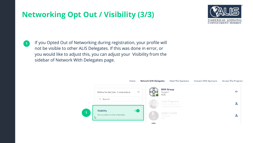#### **Networking Opt Out / Visibility (3/3)**



**1**

If you Opted Out of Networking during registration, your profile will not be visible to other ALIS Delegates. If this was done in error, or you would like to adjust this, you can adjust your Visibility from the sidebar of Network With Delegates page.

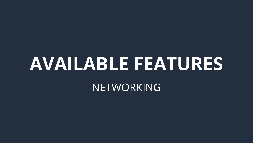### **AVAILABLE FEATURES NETWORKING**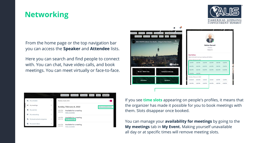#### **Networking**



4:10 PM

1:30.PM

From the home page or the top navigation bar you can access the **Speaker** and **Attendee** lists.

Here you can search and find people to connect with. You can chat, have video calls, and book meetings. You can meet virtually or face-to-face.



My Event **R** My schedule isplay empty slots My meetings Sunday, February 6, 2022 ke unavailable all day My wish list 2:00 PM Available for a meeting Make unavailable My networking 2:30 PM Available for a meeting **%** My bookmarked companies 3:00 PM My saved videos 3:00 PM Available for a meeting

If you see **time slots** appearing on people's profiles, it means that the organizer has made it possible for you to book meetings with them. Slots disappear once booked.

You can manage your **availability for meetings** by going to the **My meetings** tab in **My Event.** Making yourself unavailable all day or at specific times will remove meeting slots.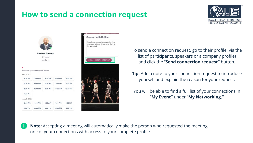#### **How to send a connection request**







To send a connection request, go to their profile (via the list of participants, speakers or a company profile) and click the "**Send connection request"** button.

**Tip:** Add a note to your connection request to introduce yourself and explain the reason for your request.

You will be able to find a full list of your connections in "**My Event"** under "**My Networking."**



**Note:** Accepting a meeting will automatically make the person who requested the meeting one of your connections with access to your complete profile.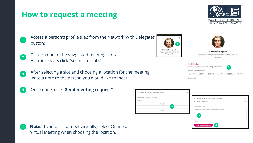#### **How to request a meeting**



- **1**
- Access a person's profile (i.e.: from the Network With Delegates button)
- Click on one of the suggested meeting slots. For more slots click "see more slots" **2**
- After selecting a slot and choosing a location for the meeting, write a note to the person you would like to meet. **3**
- Once done, click "**Send meeting request" 4**



**Charles Bourgeois** 

Team Lead Event Project, Swapcard



**Charles Bourgeois** Team Lead Event Project Manager Middle East/APAC Swapcard

| <b>Meet Charles</b> |                          |                                                      |         |                |         |
|---------------------|--------------------------|------------------------------------------------------|---------|----------------|---------|
|                     |                          | Select a time slot to set up a meeting with Charles. |         | 2 <sup>1</sup> |         |
|                     | Sunday, February 6, 2022 |                                                      |         |                |         |
| 2:00 PM             | 2:30 PM                  | 3:00 PM                                              | 3:30 PM | 4:00 PM        | 4:30 PM |
| See more slots      |                          |                                                      |         |                |         |





**Note:** If you plan to meet virtually, select Online or Virtual Meeting when choosing the location.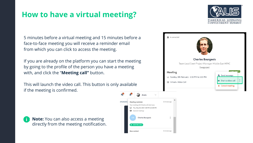#### **How to have a virtual meeting?**



5 minutes before a virtual meeting and 15 minutes before a face-to-face meeting you will receive a reminder email from which you can click to access the meeting.

If you are already on the platform you can start the meeting by going to the profile of the person you have a meeting with, and click the "**Meeting call"** button.

This will launch the video call. This button is only available if the meeting is confirmed.

**SPEAKERS** 

**HEETING CAL** 

New contact

**Note:** You can also access a meeting directly from the meeting notification.